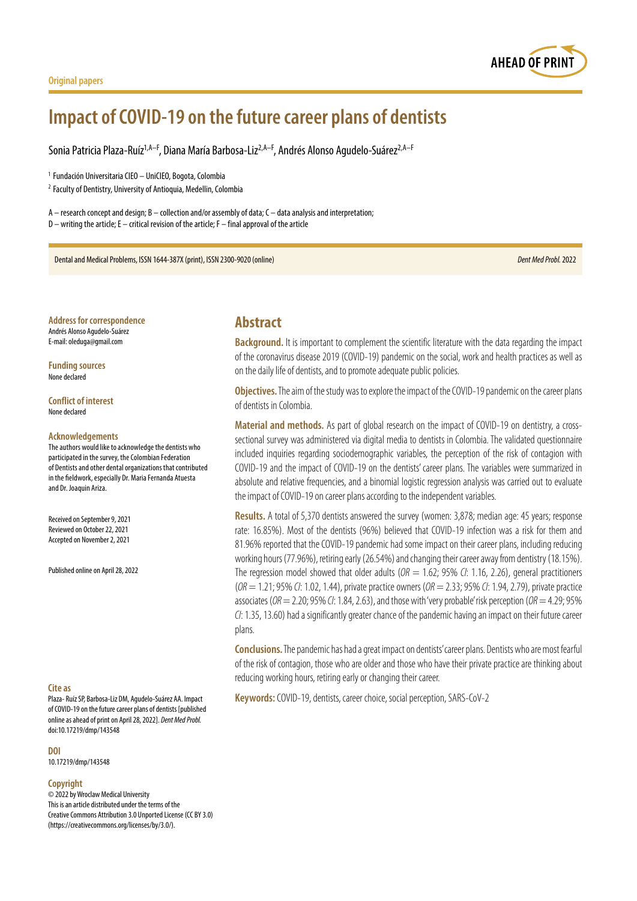#### **Original papers**

# **Impact of COVID-19 on the future career plans of dentists**

Sonia Patricia Plaza-Ruíz<sup>1,A–F</sup>, Diana María Barbosa-Liz<sup>2,A–F</sup>, Andrés Alonso Agudelo-Suárez<sup>2,A–F</sup>

<sup>1</sup> Fundación Universitaria CIEO – UniCIEO, Bogota, Colombia

<sup>2</sup> Faculty of Dentistry, University of Antioquia, Medellin, Colombia

A – research concept and design; B – collection and/or assembly of data; C – data analysis and interpretation; D – writing the article; E – critical revision of the article; F – final approval of the article

Dental and Medical Problems, ISSN 1644-387X (print), ISSN 2300-9020 (online) *Dent Med Probl.* 2022

**Address for correspondence** Andrés Alonso Agudelo-Suárez E-mail: oleduga@gmail.com

**Funding sources** None declared

**Conflict of interest** None declared

#### **Acknowledgements**

The authors would like to acknowledge the dentists who participated in the survey, the Colombian Federation of Dentists and other dental organizations that contributed in the fieldwork, especially Dr. Maria Fernanda Atuesta and Dr. Joaquin Ariza.

Received on September 9, 2021 Reviewed on October 22, 2021 Accepted on November 2, 2021

Published online on April 28, 2022

#### **Cite as**

Plaza- Ruíz SP, Barbosa-Liz DM, Agudelo-Suárez AA. Impact of COVID-19 on the future career plans of dentists [published online as ahead of print on April 28, 2022]. *Dent Med Probl.* doi:10.17219/dmp/143548

#### **DOI**

10.17219/dmp/143548

#### **Copyright**

© 2022 by Wroclaw Medical University This is an article distributed under the terms of the Creative Commons Attribution 3.0 Unported License (CC BY 3.0) [\(https://creativecommons.org/licenses/by/3.0/\)](https://creativecommons.org/licenses/by/3.0/).

## **Abstract**

**Background.** It is important to complement the scientific literature with the data regarding the impact of the coronavirus disease 2019 (COVID-19) pandemic on the social, work and health practices as well as on the daily life of dentists, and to promote adequate public policies.

**Objectives.** The aim of the study was to explore the impact of the COVID-19 pandemic on the career plans of dentists in Colombia.

**Material and methods.** As part of global research on the impact of COVID-19 on dentistry, a crosssectional survey was administered via digital media to dentists in Colombia. The validated questionnaire included inquiries regarding sociodemographic variables, the perception of the risk of contagion with COVID-19 and the impact of COVID-19 on the dentists' career plans. The variables were summarized in absolute and relative frequencies, and a binomial logistic regression analysis was carried out to evaluate the impact of COVID-19 on career plans according to the independent variables.

**Results.** A total of 5,370 dentists answered the survey (women: 3,878; median age: 45 years; response rate: 16.85%). Most of the dentists (96%) believed that COVID-19 infection was a risk for them and 81.96% reported that the COVID-19 pandemic had some impact on their career plans, including reducing working hours (77.96%), retiring early (26.54%) and changing their career away from dentistry (18.15%). The regression model showed that older adults (*OR* = 1.62; 95% *CI*: 1.16, 2.26), general practitioners (*OR* = 1.21; 95% *CI*: 1.02, 1.44), private practice owners (*OR* = 2.33; 95% *CI*: 1.94, 2.79), private practice associates (*OR* = 2.20; 95% *CI*: 1.84, 2.63), and those with 'very probable' risk perception (*OR* = 4.29; 95% *CI*: 1.35, 13.60) had a significantly greater chance of the pandemic having an impact on their future career plans.

**Conclusions.**The pandemic has had a great impact on dentists' career plans. Dentists who are most fearful of the risk of contagion, those who are older and those who have their private practice are thinking about reducing working hours, retiring early or changing their career.

**Keywords:** COVID-19, dentists, career choice, social perception, SARS-CoV-2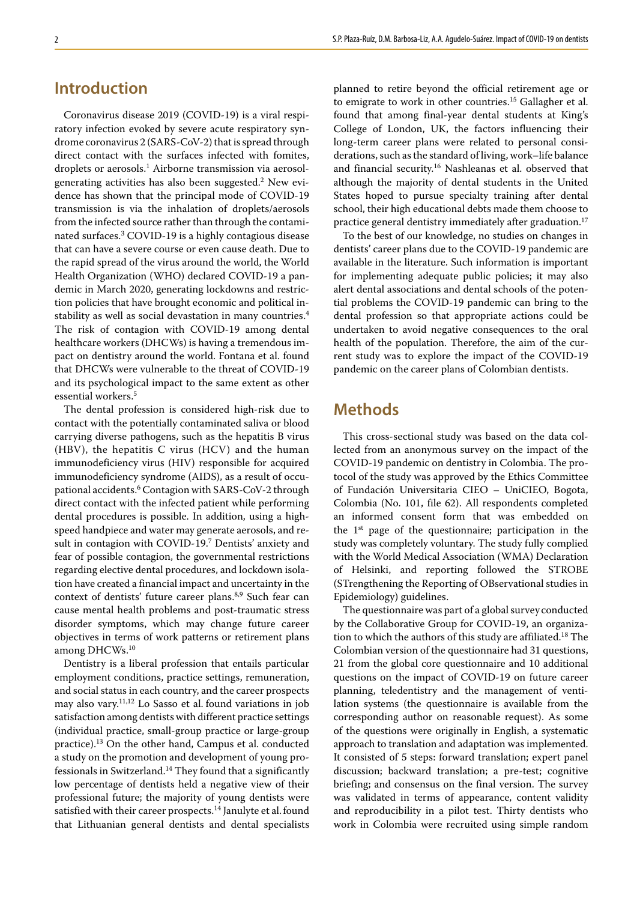# **Introduction**

Coronavirus disease 2019 (COVID-19) is a viral respiratory infection evoked by severe acute respiratory syndrome coronavirus 2 (SARS-CoV-2) that is spread through direct contact with the surfaces infected with fomites, droplets or aerosols.<sup>1</sup> Airborne transmission via aerosolgenerating activities has also been suggested.<sup>2</sup> New evidence has shown that the principal mode of COVID-19 transmission is via the inhalation of droplets/aerosols from the infected source rather than through the contaminated surfaces.3 COVID-19 is a highly contagious disease that can have a severe course or even cause death. Due to the rapid spread of the virus around the world, the World Health Organization (WHO) declared COVID-19 a pandemic in March 2020, generating lockdowns and restriction policies that have brought economic and political instability as well as social devastation in many countries.<sup>4</sup> The risk of contagion with COVID-19 among dental healthcare workers (DHCWs) is having a tremendous impact on dentistry around the world. Fontana et al. found that DHCWs were vulnerable to the threat of COVID-19 and its psychological impact to the same extent as other essential workers.<sup>5</sup>

The dental profession is considered high-risk due to contact with the potentially contaminated saliva or blood carrying diverse pathogens, such as the hepatitis B virus (HBV), the hepatitis C virus (HCV) and the human immunodeficiency virus (HIV) responsible for acquired immunodeficiency syndrome (AIDS), as a result of occupational accidents.<sup>6</sup> Contagion with SARS-CoV-2 through direct contact with the infected patient while performing dental procedures is possible. In addition, using a highspeed handpiece and water may generate aerosols, and result in contagion with COVID-19.<sup>7</sup> Dentists' anxiety and fear of possible contagion, the governmental restrictions regarding elective dental procedures, and lockdown isolation have created a financial impact and uncertainty in the context of dentists' future career plans.<sup>8,9</sup> Such fear can cause mental health problems and post-traumatic stress disorder symptoms, which may change future career objectives in terms of work patterns or retirement plans among DHCWs.<sup>10</sup>

Dentistry is a liberal profession that entails particular employment conditions, practice settings, remuneration, and social status in each country, and the career prospects may also vary.11,12 Lo Sasso et al. found variations in job satisfaction among dentists with different practice settings (individual practice, small-group practice or large-group practice).13 On the other hand, Campus et al. conducted a study on the promotion and development of young professionals in Switzerland.<sup>14</sup> They found that a significantly low percentage of dentists held a negative view of their professional future; the majority of young dentists were satisfied with their career prospects.<sup>14</sup> Janulyte et al. found that Lithuanian general dentists and dental specialists

planned to retire beyond the official retirement age or to emigrate to work in other countries.15 Gallagher et al. found that among final-year dental students at King's College of London, UK, the factors influencing their long-term career plans were related to personal considerations, such as the standard of living, work–life balance and financial security.16 Nashleanas et al. observed that although the majority of dental students in the United States hoped to pursue specialty training after dental school, their high educational debts made them choose to practice general dentistry immediately after graduation.<sup>17</sup>

To the best of our knowledge, no studies on changes in dentists' career plans due to the COVID-19 pandemic are available in the literature. Such information is important for implementing adequate public policies; it may also alert dental associations and dental schools of the potential problems the COVID-19 pandemic can bring to the dental profession so that appropriate actions could be undertaken to avoid negative consequences to the oral health of the population. Therefore, the aim of the current study was to explore the impact of the COVID-19 pandemic on the career plans of Colombian dentists.

# **Methods**

This cross-sectional study was based on the data collected from an anonymous survey on the impact of the COVID-19 pandemic on dentistry in Colombia. The protocol of the study was approved by the Ethics Committee of Fundación Universitaria CIEO – UniCIEO, Bogota, Colombia (No. 101, file 62). All respondents completed an informed consent form that was embedded on the 1<sup>st</sup> page of the questionnaire; participation in the study was completely voluntary. The study fully complied with the World Medical Association (WMA) Declaration of Helsinki, and reporting followed the STROBE (STrengthening the Reporting of OBservational studies in Epidemiology) guidelines.

The questionnaire was part of a global survey conducted by the Collaborative Group for COVID-19, an organization to which the authors of this study are affiliated.18 The Colombian version of the questionnaire had 31 questions, 21 from the global core questionnaire and 10 additional questions on the impact of COVID-19 on future career planning, teledentistry and the management of ventilation systems (the questionnaire is available from the corresponding author on reasonable request). As some of the questions were originally in English, a systematic approach to translation and adaptation was implemented. It consisted of 5 steps: forward translation; expert panel discussion; backward translation; a pre-test; cognitive briefing; and consensus on the final version. The survey was validated in terms of appearance, content validity and reproducibility in a pilot test. Thirty dentists who work in Colombia were recruited using simple random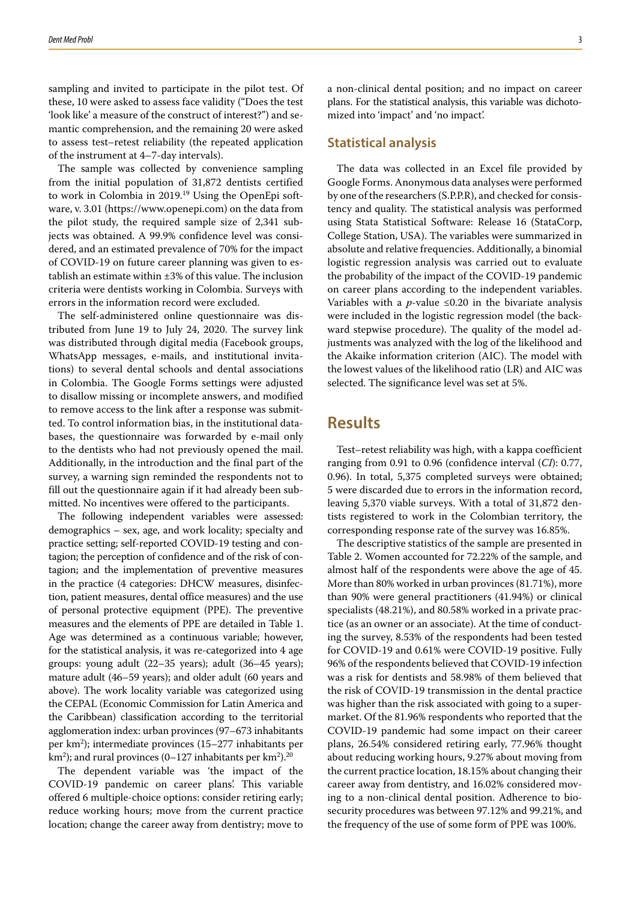sampling and invited to participate in the pilot test. Of these, 10 were asked to assess face validity ("Does the test 'look like' a measure of the construct of interest?") and semantic comprehension, and the remaining 20 were asked to assess test–retest reliability (the repeated application of the instrument at 4–7-day intervals).

The sample was collected by convenience sampling from the initial population of 31,872 dentists certified to work in Colombia in 2019.19 Using the OpenEpi software, v. 3.01 (<https://www.openepi.com>) on the data from the pilot study, the required sample size of 2,341 subjects was obtained. A 99.9% confidence level was considered, and an estimated prevalence of 70% for the impact of COVID-19 on future career planning was given to establish an estimate within  $\pm 3\%$  of this value. The inclusion criteria were dentists working in Colombia. Surveys with errors in the information record were excluded.

The self-administered online questionnaire was distributed from June 19 to July 24, 2020. The survey link was distributed through digital media (Facebook groups, WhatsApp messages, e-mails, and institutional invitations) to several dental schools and dental associations in Colombia. The Google Forms settings were adjusted to disallow missing or incomplete answers, and modified to remove access to the link after a response was submitted. To control information bias, in the institutional databases, the questionnaire was forwarded by e-mail only to the dentists who had not previously opened the mail. Additionally, in the introduction and the final part of the survey, a warning sign reminded the respondents not to fill out the questionnaire again if it had already been submitted. No incentives were offered to the participants.

The following independent variables were assessed: demographics – sex, age, and work locality; specialty and practice setting; self-reported COVID-19 testing and contagion; the perception of confidence and of the risk of contagion; and the implementation of preventive measures in the practice (4 categories: DHCW measures, disinfection, patient measures, dental office measures) and the use of personal protective equipment (PPE). The preventive measures and the elements of PPE are detailed in Table 1. Age was determined as a continuous variable; however, for the statistical analysis, it was re-categorized into 4 age groups: young adult (22–35 years); adult (36–45 years); mature adult (46–59 years); and older adult (60 years and above). The work locality variable was categorized using the CEPAL (Economic Commission for Latin America and the Caribbean) classification according to the territorial agglomeration index: urban provinces (97–673 inhabitants per km2 ); intermediate provinces (15–277 inhabitants per km<sup>2</sup>); and rural provinces (0–127 inhabitants per km<sup>2</sup>).<sup>20</sup>

The dependent variable was 'the impact of the COVID-19 pandemic on career plans'. This variable offered 6 multiple-choice options: consider retiring early; reduce working hours; move from the current practice location; change the career away from dentistry; move to

a non-clinical dental position; and no impact on career plans. For the statistical analysis, this variable was dichotomized into 'impact' and 'no impact'.

### **Statistical analysis**

The data was collected in an Excel file provided by Google Forms. Anonymous data analyses were performed by one of the researchers (S.P.P.R), and checked for consistency and quality. The statistical analysis was performed using Stata Statistical Software: Release 16 (StataCorp, College Station, USA). The variables were summarized in absolute and relative frequencies. Additionally, a binomial logistic regression analysis was carried out to evaluate the probability of the impact of the COVID-19 pandemic on career plans according to the independent variables. Variables with a  $p$ -value  $\leq 0.20$  in the bivariate analysis were included in the logistic regression model (the backward stepwise procedure). The quality of the model adjustments was analyzed with the log of the likelihood and the Akaike information criterion (AIC). The model with the lowest values of the likelihood ratio (LR) and AIC was selected. The significance level was set at 5%.

## **Results**

Test–retest reliability was high, with a kappa coefficient ranging from 0.91 to 0.96 (confidence interval (*CI*): 0.77, 0.96). In total, 5,375 completed surveys were obtained; 5 were discarded due to errors in the information record, leaving 5,370 viable surveys. With a total of 31,872 dentists registered to work in the Colombian territory, the corresponding response rate of the survey was 16.85%.

The descriptive statistics of the sample are presented in Table 2. Women accounted for 72.22% of the sample, and almost half of the respondents were above the age of 45. More than 80% worked in urban provinces (81.71%), more than 90% were general practitioners (41.94%) or clinical specialists (48.21%), and 80.58% worked in a private practice (as an owner or an associate). At the time of conducting the survey, 8.53% of the respondents had been tested for COVID-19 and 0.61% were COVID-19 positive. Fully 96% of the respondents believed that COVID-19 infection was a risk for dentists and 58.98% of them believed that the risk of COVID-19 transmission in the dental practice was higher than the risk associated with going to a supermarket. Of the 81.96% respondents who reported that the COVID-19 pandemic had some impact on their career plans, 26.54% considered retiring early, 77.96% thought about reducing working hours, 9.27% about moving from the current practice location, 18.15% about changing their career away from dentistry, and 16.02% considered moving to a non-clinical dental position. Adherence to biosecurity procedures was between 97.12% and 99.21%, and the frequency of the use of some form of PPE was 100%.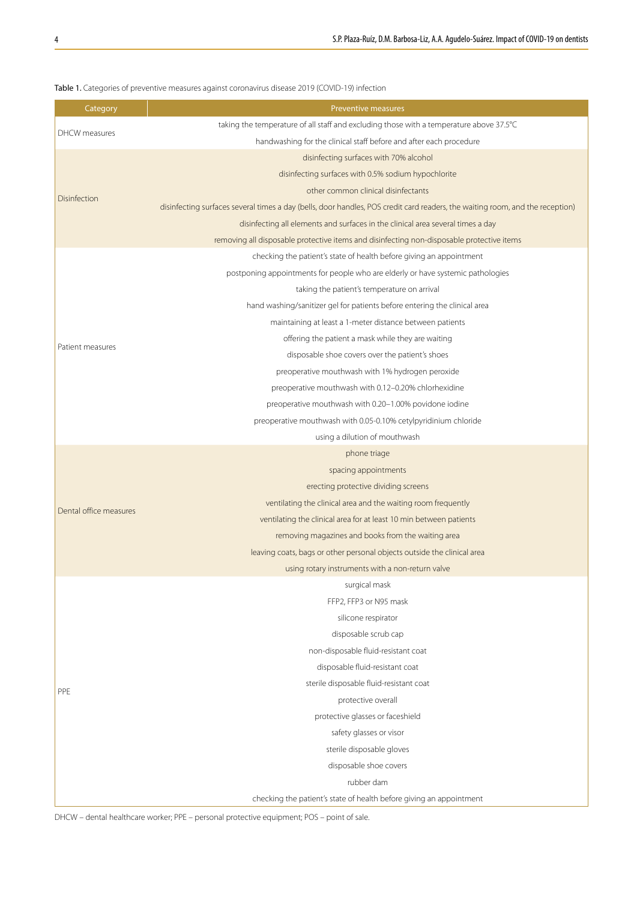| Category               | Preventive measures                                                                                                           |  |  |  |  |  |
|------------------------|-------------------------------------------------------------------------------------------------------------------------------|--|--|--|--|--|
|                        | taking the temperature of all staff and excluding those with a temperature above 37.5°C                                       |  |  |  |  |  |
| DHCW measures          | handwashing for the clinical staff before and after each procedure                                                            |  |  |  |  |  |
|                        | disinfecting surfaces with 70% alcohol                                                                                        |  |  |  |  |  |
|                        | disinfecting surfaces with 0.5% sodium hypochlorite                                                                           |  |  |  |  |  |
|                        | other common clinical disinfectants                                                                                           |  |  |  |  |  |
| Disinfection           | disinfecting surfaces several times a day (bells, door handles, POS credit card readers, the waiting room, and the reception) |  |  |  |  |  |
|                        | disinfecting all elements and surfaces in the clinical area several times a day                                               |  |  |  |  |  |
|                        | removing all disposable protective items and disinfecting non-disposable protective items                                     |  |  |  |  |  |
|                        | checking the patient's state of health before giving an appointment                                                           |  |  |  |  |  |
|                        | postponing appointments for people who are elderly or have systemic pathologies                                               |  |  |  |  |  |
|                        | taking the patient's temperature on arrival                                                                                   |  |  |  |  |  |
|                        | hand washing/sanitizer gel for patients before entering the clinical area                                                     |  |  |  |  |  |
|                        | maintaining at least a 1-meter distance between patients                                                                      |  |  |  |  |  |
|                        | offering the patient a mask while they are waiting                                                                            |  |  |  |  |  |
| Patient measures       | disposable shoe covers over the patient's shoes                                                                               |  |  |  |  |  |
|                        | preoperative mouthwash with 1% hydrogen peroxide                                                                              |  |  |  |  |  |
|                        | preoperative mouthwash with 0.12-0.20% chlorhexidine                                                                          |  |  |  |  |  |
|                        | preoperative mouthwash with 0.20-1.00% povidone iodine                                                                        |  |  |  |  |  |
|                        | preoperative mouthwash with 0.05-0.10% cetylpyridinium chloride                                                               |  |  |  |  |  |
|                        | using a dilution of mouthwash                                                                                                 |  |  |  |  |  |
|                        | phone triage                                                                                                                  |  |  |  |  |  |
|                        | spacing appointments                                                                                                          |  |  |  |  |  |
|                        | erecting protective dividing screens                                                                                          |  |  |  |  |  |
|                        | ventilating the clinical area and the waiting room frequently                                                                 |  |  |  |  |  |
| Dental office measures | ventilating the clinical area for at least 10 min between patients                                                            |  |  |  |  |  |
|                        | removing magazines and books from the waiting area                                                                            |  |  |  |  |  |
|                        | leaving coats, bags or other personal objects outside the clinical area                                                       |  |  |  |  |  |
|                        | using rotary instruments with a non-return valve                                                                              |  |  |  |  |  |
|                        | surgical mask                                                                                                                 |  |  |  |  |  |
|                        | FFP2, FFP3 or N95 mask                                                                                                        |  |  |  |  |  |
|                        | silicone respirator                                                                                                           |  |  |  |  |  |
|                        | disposable scrub cap                                                                                                          |  |  |  |  |  |
|                        | non-disposable fluid-resistant coat                                                                                           |  |  |  |  |  |
|                        | disposable fluid-resistant coat                                                                                               |  |  |  |  |  |
|                        | sterile disposable fluid-resistant coat                                                                                       |  |  |  |  |  |
| PPE                    | protective overall                                                                                                            |  |  |  |  |  |
|                        | protective glasses or faceshield                                                                                              |  |  |  |  |  |
|                        | safety glasses or visor                                                                                                       |  |  |  |  |  |
|                        | sterile disposable gloves                                                                                                     |  |  |  |  |  |
|                        | disposable shoe covers                                                                                                        |  |  |  |  |  |
|                        | rubber dam                                                                                                                    |  |  |  |  |  |
|                        | checking the patient's state of health before giving an appointment                                                           |  |  |  |  |  |
|                        |                                                                                                                               |  |  |  |  |  |

### Table 1. Categories of preventive measures against coronavirus disease 2019 (COVID-19) infection

DHCW – dental healthcare worker; PPE – personal protective equipment; POS – point of sale.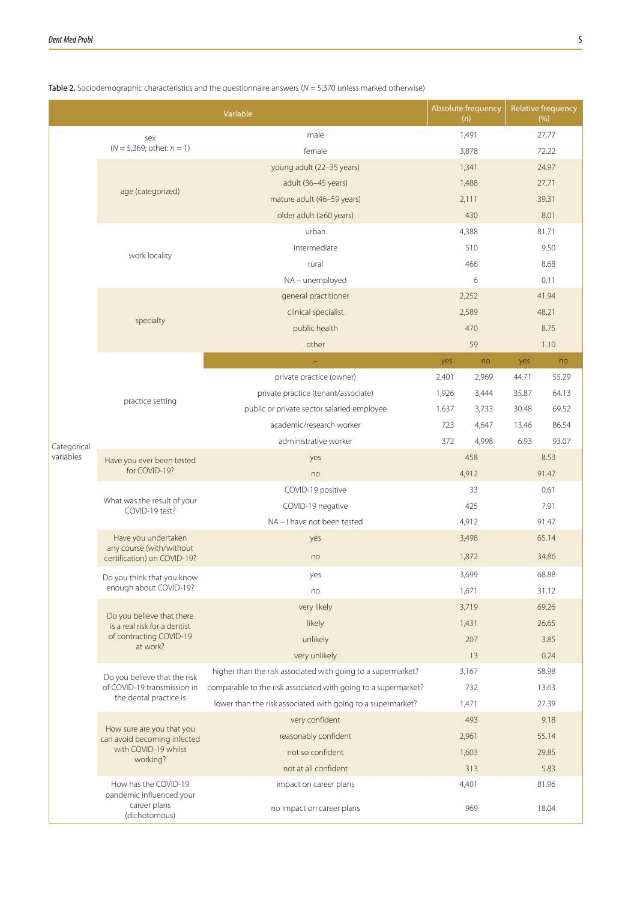|             |                                                           | Variable                                                       |       | Absolute frequency<br>(n) |       | <b>Relative frequency</b><br>(% ) |  |
|-------------|-----------------------------------------------------------|----------------------------------------------------------------|-------|---------------------------|-------|-----------------------------------|--|
|             | sex                                                       | male                                                           | 1,491 |                           | 27.77 |                                   |  |
|             | $(N = 5,369;$ other: $n = 1)$                             | female                                                         | 3,878 |                           | 72.22 |                                   |  |
|             |                                                           | young adult (22-35 years)                                      | 1,341 |                           | 24.97 |                                   |  |
|             |                                                           | adult (36-45 years)                                            |       | 1,488                     |       | 27.71                             |  |
|             | age (categorized)                                         | mature adult (46-59 years)                                     |       | 2,111                     |       | 39.31                             |  |
|             |                                                           | older adult (≥60 years)                                        | 430   |                           |       | 8.01                              |  |
|             |                                                           | urban                                                          |       | 4,388                     |       | 81.71                             |  |
|             | work locality                                             | intermediate                                                   |       | 510                       |       | 9.50                              |  |
|             |                                                           | rural                                                          | 466   |                           |       | 8.68                              |  |
|             |                                                           | NA - unemployed                                                |       | 6                         | 0.11  |                                   |  |
|             |                                                           | general practitioner                                           |       | 2,252                     | 41.94 |                                   |  |
|             | specialty                                                 | clinical specialist                                            |       | 2,589                     | 48.21 |                                   |  |
|             |                                                           | public health                                                  | 470   |                           | 8.75  |                                   |  |
|             |                                                           | other                                                          |       | 59                        |       | 1.10                              |  |
|             |                                                           |                                                                | yes   | no                        | yes   | no                                |  |
|             |                                                           | private practice (owner)                                       | 2,401 | 2,969                     | 44.71 | 55.29                             |  |
|             |                                                           | private practice (tenant/associate)                            | 1,926 | 3,444                     | 35.87 | 64.13                             |  |
|             | practice setting                                          | public or private sector salaried employee                     |       | 3,733                     | 30.48 | 69.52                             |  |
|             |                                                           | academic/research worker                                       | 723   | 4,647                     | 13.46 | 86.54                             |  |
| Categorical |                                                           | administrative worker                                          | 372   | 4,998                     | 6.93  | 93.07                             |  |
| variables   | Have you ever been tested<br>for COVID-19?                | yes                                                            |       | 458                       |       | 8.53                              |  |
|             |                                                           | no                                                             | 4,912 |                           |       | 91.47                             |  |
|             | What was the result of your<br>COVID-19 test?             | COVID-19 positive                                              | 33    |                           | 0.61  |                                   |  |
|             |                                                           | COVID-19 negative                                              | 425   |                           | 7.91  |                                   |  |
|             |                                                           | NA - I have not been tested                                    | 4,912 |                           | 91.47 |                                   |  |
|             | Have you undertaken<br>any course (with/without           | yes                                                            | 3,498 |                           | 65.14 |                                   |  |
|             | certification) on COVID-19?                               | no                                                             | 1,872 |                           | 34.86 |                                   |  |
|             | Do you think that you know                                | yes                                                            |       | 3,699                     | 68.88 |                                   |  |
|             | enough about COVID-19?                                    | no                                                             | 1,671 |                           | 31.12 |                                   |  |
|             |                                                           | very likely                                                    | 3,719 |                           | 69.26 |                                   |  |
|             | Do you believe that there<br>is a real risk for a dentist | likely                                                         | 1,431 |                           | 26.65 |                                   |  |
|             | of contracting COVID-19<br>at work?                       | unlikely                                                       | 207   |                           | 3.85  |                                   |  |
|             |                                                           | very unlikely                                                  | 13    |                           | 0.24  |                                   |  |
|             | Do you believe that the risk                              | higher than the risk associated with going to a supermarket?   | 3,167 |                           | 58.98 |                                   |  |
|             | of COVID-19 transmission in                               | comparable to the risk associated with going to a supermarket? |       | 732                       |       | 13.63                             |  |
|             | the dental practice is                                    | lower than the risk associated with going to a supermarket?    | 1,471 |                           | 27.39 |                                   |  |
|             | How sure are you that you                                 | very confident                                                 | 493   |                           | 9.18  |                                   |  |
|             | can avoid becoming infected                               | reasonably confident                                           | 2,961 |                           | 55.14 |                                   |  |
|             | with COVID-19 whilst<br>working?                          | not so confident                                               | 1,603 |                           | 29.85 |                                   |  |
|             |                                                           | not at all confident                                           |       | 313                       |       | 5.83                              |  |
|             | How has the COVID-19                                      | impact on career plans                                         | 4,401 |                           | 81.96 |                                   |  |
|             | pandemic influenced your<br>career plans<br>(dichotomous) | no impact on career plans                                      | 969   |                           | 18.04 |                                   |  |

### Table 2. Sociodemographic characteristics and the questionnaire answers (*N* = 5,370 unless marked otherwise)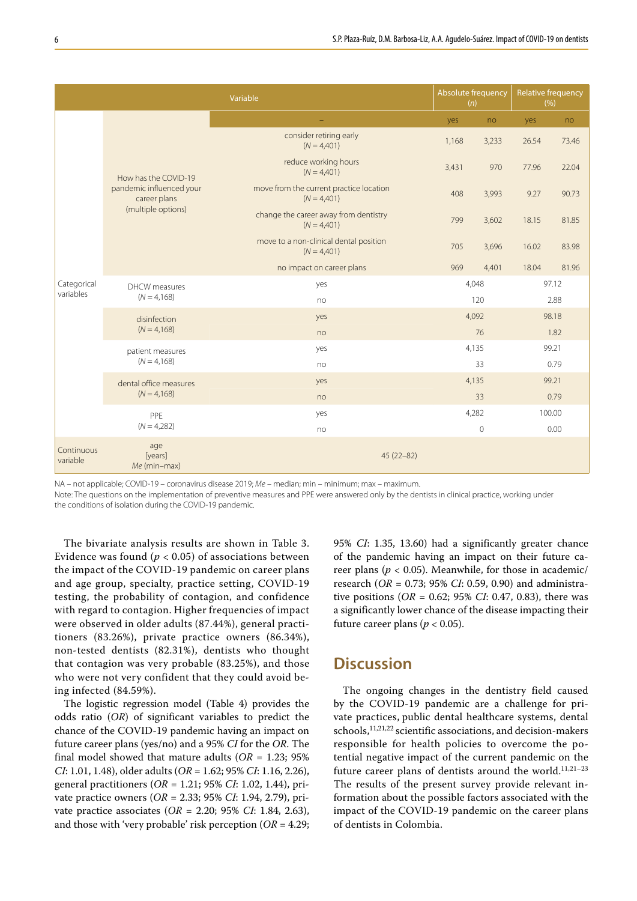| Variable               |                                                                                        |                                                          |             | Absolute frequency<br>(n) |        | <b>Relative frequency</b><br>(%) |  |
|------------------------|----------------------------------------------------------------------------------------|----------------------------------------------------------|-------------|---------------------------|--------|----------------------------------|--|
|                        | How has the COVID-19<br>pandemic influenced your<br>career plans<br>(multiple options) |                                                          | yes         | no                        | yes    | no                               |  |
|                        |                                                                                        | consider retiring early<br>$(N = 4,401)$                 | 1,168       | 3,233                     | 26.54  | 73.46                            |  |
|                        |                                                                                        | reduce working hours<br>$(N = 4,401)$                    | 3,431       | 970                       | 77.96  | 22.04                            |  |
|                        |                                                                                        | move from the current practice location<br>$(N = 4,401)$ | 408         | 3,993                     | 9.27   | 90.73                            |  |
|                        |                                                                                        | change the career away from dentistry<br>$(N = 4,401)$   | 799         | 3,602                     | 18.15  | 81.85                            |  |
|                        |                                                                                        | move to a non-clinical dental position<br>$(N = 4,401)$  | 705         | 3,696                     | 16.02  | 83.98                            |  |
|                        |                                                                                        | no impact on career plans                                | 969         | 4,401                     | 18.04  | 81.96                            |  |
| Categorical            | DHCW measures<br>$(N = 4,168)$                                                         | yes                                                      | 4,048       |                           | 97.12  |                                  |  |
| variables              |                                                                                        | no                                                       | 120         |                           |        | 2.88                             |  |
|                        | disinfection<br>$(N = 4,168)$                                                          | yes                                                      | 4,092       |                           | 98.18  |                                  |  |
|                        |                                                                                        | no                                                       | 76          |                           | 1.82   |                                  |  |
|                        | patient measures                                                                       | yes                                                      | 4,135       |                           | 99.21  |                                  |  |
|                        | $(N = 4,168)$                                                                          | no                                                       | 33          |                           | 0.79   |                                  |  |
|                        | dental office measures<br>$(N = 4,168)$                                                | yes                                                      | 4,135       |                           | 99.21  |                                  |  |
|                        |                                                                                        | no                                                       | 33          |                           | 0.79   |                                  |  |
|                        | PPE                                                                                    | yes                                                      | 4,282       |                           | 100.00 |                                  |  |
|                        | $(N = 4,282)$                                                                          | no                                                       | $\mathbf 0$ |                           | 0.00   |                                  |  |
| Continuous<br>variable | age<br>[years]<br>Me (min-max)                                                         | $45(22-82)$                                              |             |                           |        |                                  |  |

NA – not applicable; COVID-19 – coronavirus disease 2019; *Me* – median; min – minimum; max – maximum.

Note: The questions on the implementation of preventive measures and PPE were answered only by the dentists in clinical practice, working under the conditions of isolation during the COVID-19 pandemic.

The bivariate analysis results are shown in Table 3. Evidence was found ( $p < 0.05$ ) of associations between the impact of the COVID-19 pandemic on career plans and age group, specialty, practice setting, COVID-19 testing, the probability of contagion, and confidence with regard to contagion. Higher frequencies of impact were observed in older adults (87.44%), general practitioners (83.26%), private practice owners (86.34%), non-tested dentists (82.31%), dentists who thought that contagion was very probable (83.25%), and those who were not very confident that they could avoid being infected (84.59%).

The logistic regression model (Table 4) provides the odds ratio (*OR*) of significant variables to predict the chance of the COVID-19 pandemic having an impact on future career plans (yes/no) and a 95% *CI* for the *OR*. The final model showed that mature adults  $(OR = 1.23; 95\%)$ *CI*: 1.01, 1.48), older adults (*OR* = 1.62; 95% *CI*: 1.16, 2.26), general practitioners (*OR* = 1.21; 95% *CI*: 1.02, 1.44), private practice owners (*OR* = 2.33; 95% *CI*: 1.94, 2.79), private practice associates (*OR* = 2.20; 95% *CI*: 1.84, 2.63), and those with 'very probable' risk perception (*OR* = 4.29; 95% *CI*: 1.35, 13.60) had a significantly greater chance of the pandemic having an impact on their future career plans ( $p < 0.05$ ). Meanwhile, for those in academic/ research (*OR* = 0.73; 95% *CI*: 0.59, 0.90) and administrative positions (*OR* = 0.62; 95% *CI*: 0.47, 0.83), there was a significantly lower chance of the disease impacting their future career plans ( $p < 0.05$ ).

# **Discussion**

The ongoing changes in the dentistry field caused by the COVID-19 pandemic are a challenge for private practices, public dental healthcare systems, dental schools,11,21,22 scientific associations, and decision-makers responsible for health policies to overcome the potential negative impact of the current pandemic on the future career plans of dentists around the world.<sup>11,21-23</sup> The results of the present survey provide relevant information about the possible factors associated with the impact of the COVID-19 pandemic on the career plans of dentists in Colombia.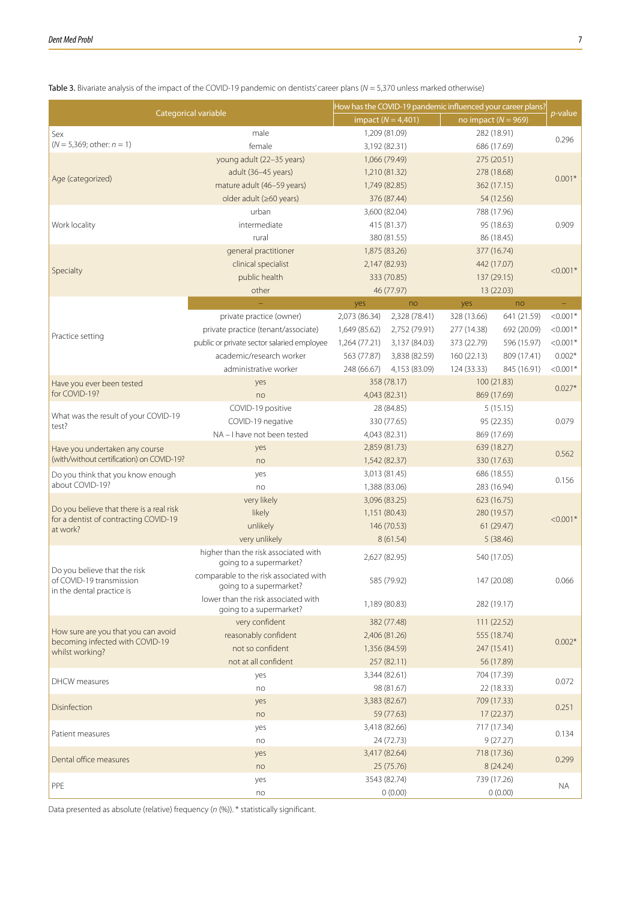|                                                          |                                                                |                             |                        | How has the COVID-19 pandemic influenced your career plans? |             |            |  |
|----------------------------------------------------------|----------------------------------------------------------------|-----------------------------|------------------------|-------------------------------------------------------------|-------------|------------|--|
|                                                          | Categorical variable                                           |                             | impact ( $N = 4,401$ ) | no impact ( $N = 969$ )                                     |             | p-value    |  |
| Sex                                                      | male                                                           | 1,209 (81.09)               |                        | 282 (18.91)                                                 |             |            |  |
| $(N = 5,369;$ other: $n = 1)$                            | female                                                         | 3,192 (82.31)               |                        | 686 (17.69)                                                 |             | 0.296      |  |
|                                                          | young adult (22-35 years)                                      | 1,066 (79.49)               |                        | 275 (20.51)                                                 |             |            |  |
| Age (categorized)                                        | adult (36-45 years)                                            | 1,210 (81.32)               |                        | 278 (18.68)                                                 |             | $0.001*$   |  |
|                                                          | mature adult (46-59 years)                                     | 1,749 (82.85)               |                        | 362 (17.15)                                                 |             |            |  |
|                                                          | older adult (≥60 years)                                        |                             | 376 (87.44)            |                                                             | 54 (12.56)  |            |  |
|                                                          | urban                                                          | 3,600 (82.04)               |                        | 788 (17.96)                                                 |             |            |  |
| Work locality                                            | intermediate                                                   | 415 (81.37)                 |                        | 95 (18.63)                                                  |             | 0.909      |  |
|                                                          | rural                                                          | 380 (81.55)                 |                        | 86 (18.45)                                                  |             |            |  |
|                                                          | general practitioner                                           | 1,875 (83.26)               |                        | 377 (16.74)                                                 |             |            |  |
| Specialty                                                | clinical specialist                                            | 2,147 (82.93)               |                        | 442 (17.07)                                                 |             | $< 0.001*$ |  |
|                                                          | public health                                                  |                             | 333 (70.85)            | 137 (29.15)                                                 |             |            |  |
|                                                          | other                                                          |                             | 46 (77.97)             |                                                             | 13 (22.03)  |            |  |
|                                                          |                                                                | yes                         | no                     | yes                                                         | no          |            |  |
|                                                          | private practice (owner)                                       | 2,073 (86.34)               | 2,328 (78.41)          | 328 (13.66)                                                 | 641 (21.59) | $< 0.001*$ |  |
|                                                          | private practice (tenant/associate)                            | 1,649 (85.62)               | 2,752 (79.91)          | 277 (14.38)                                                 | 692 (20.09) | $< 0.001*$ |  |
| Practice setting                                         | public or private sector salaried employee                     | 1,264 (77.21)               | 3,137 (84.03)          | 373 (22.79)                                                 | 596 (15.97) | $< 0.001*$ |  |
|                                                          | academic/research worker                                       | 563 (77.87)                 | 3,838 (82.59)          | 160(22.13)                                                  | 809 (17.41) | $0.002*$   |  |
|                                                          | administrative worker                                          | 248 (66.67)                 | 4,153 (83.09)          | 124 (33.33)                                                 | 845 (16.91) | $< 0.001*$ |  |
| Have you ever been tested                                | yes                                                            | 358 (78.17)                 |                        | 100 (21.83)                                                 |             |            |  |
| for COVID-19?                                            | no                                                             | 4,043 (82.31)               |                        | 869 (17.69)                                                 |             | $0.027*$   |  |
|                                                          | COVID-19 positive                                              | 28 (84.85)                  |                        |                                                             | 5(15.15)    |            |  |
| What was the result of your COVID-19                     | COVID-19 negative                                              | 330 (77.65)                 |                        |                                                             | 95 (22.35)  |            |  |
| test?                                                    | NA - I have not been tested                                    | 4,043 (82.31)               |                        |                                                             | 869 (17.69) |            |  |
| Have you undertaken any course                           | yes                                                            | 2,859 (81.73)               |                        | 639 (18.27)                                                 |             |            |  |
| (with/without certification) on COVID-19?                | no                                                             | 1,542 (82.37)               |                        | 330 (17.63)                                                 |             | 0.562      |  |
| Do you think that you know enough                        | yes                                                            | 3,013 (81.45)               |                        | 686 (18.55)                                                 |             |            |  |
| about COVID-19?                                          | no                                                             | 1,388 (83.06)               |                        | 283 (16.94)                                                 |             | 0.156      |  |
|                                                          | very likely                                                    | 3,096 (83.25)               |                        | 623 (16.75)                                                 |             |            |  |
| Do you believe that there is a real risk                 | likely                                                         | 1,151 (80.43)               |                        |                                                             | 280 (19.57) |            |  |
| for a dentist of contracting COVID-19<br>at work?        | unlikely                                                       |                             | 146 (70.53)            | 61(29.47)                                                   |             | $< 0.001*$ |  |
|                                                          | very unlikely                                                  |                             | 8(61.54)               | 5(38.46)                                                    |             |            |  |
|                                                          | higher than the risk associated with                           |                             |                        |                                                             |             |            |  |
|                                                          | going to a supermarket?                                        | 2,627 (82.95)               |                        | 540 (17.05)                                                 |             |            |  |
| Do you believe that the risk<br>of COVID-19 transmission | comparable to the risk associated with                         | 585 (79.92)                 |                        | 147 (20.08)                                                 |             | 0.066      |  |
| in the dental practice is                                | going to a supermarket?                                        |                             |                        |                                                             |             |            |  |
|                                                          | lower than the risk associated with<br>going to a supermarket? | 1,189 (80.83)               |                        | 282 (19.17)                                                 |             |            |  |
|                                                          | very confident                                                 |                             | 382 (77.48)            | 111 (22.52)                                                 |             |            |  |
| How sure are you that you can avoid                      | reasonably confident                                           | 2,406 (81.26)               |                        | 555 (18.74)                                                 |             |            |  |
| becoming infected with COVID-19                          | not so confident                                               |                             |                        |                                                             |             | $0.002*$   |  |
| whilst working?                                          |                                                                | 1,356 (84.59)               |                        | 247 (15.41)<br>56 (17.89)                                   |             |            |  |
|                                                          | not at all confident                                           |                             | 257 (82.11)            |                                                             |             |            |  |
| <b>DHCW</b> measures                                     | yes                                                            |                             | 3,344 (82.61)          |                                                             | 704 (17.39) | 0.072      |  |
|                                                          | no                                                             |                             | 98 (81.67)             |                                                             | 22 (18.33)  |            |  |
| Disinfection                                             | yes                                                            | 3,383 (82.67)               |                        | 709 (17.33)                                                 |             | 0.251      |  |
|                                                          | no                                                             | 59 (77.63)<br>3,418 (82.66) |                        |                                                             | 17 (22.37)  |            |  |
| Patient measures                                         | yes                                                            |                             |                        | 717 (17.34)                                                 |             | 0.134      |  |
|                                                          | no                                                             |                             | 24 (72.73)             |                                                             | 9(27.27)    |            |  |
| Dental office measures                                   | yes                                                            | 3,417 (82.64)               |                        | 718 (17.36)                                                 |             | 0.299      |  |
|                                                          | no                                                             |                             | 25 (75.76)             |                                                             | 8(24.24)    |            |  |
| PPE                                                      | yes                                                            | 3543 (82.74)                |                        | 739 (17.26)                                                 |             | ΝA         |  |
|                                                          | no                                                             |                             | 0(0.00)                |                                                             | 0(0.00)     |            |  |

Table 3. Bivariate analysis of the impact of the COVID-19 pandemic on dentists' career plans (*N* = 5,370 unless marked otherwise)

Data presented as absolute (relative) frequency (*n* (%)). \* statistically significant.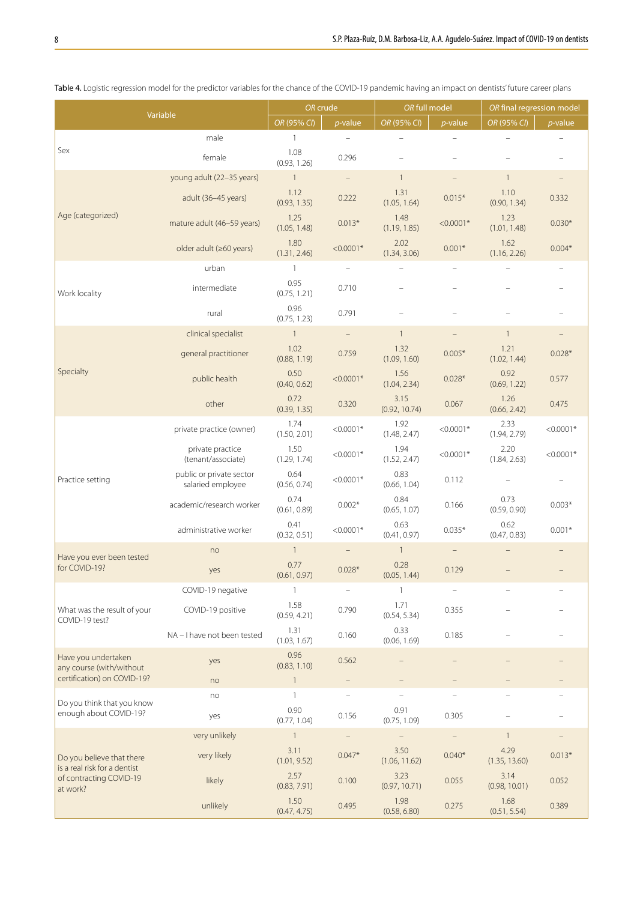|                                                           |                                               | OR crude             |                                   | OR full model            |                   | OR final regression model |             |
|-----------------------------------------------------------|-----------------------------------------------|----------------------|-----------------------------------|--------------------------|-------------------|---------------------------|-------------|
| Variable                                                  |                                               | OR (95% CI)          | $p$ -value                        | OR (95% CI)              | $p$ -value        | OR (95% CI)               | $p$ -value  |
|                                                           | male                                          | $\mathbf{1}$         |                                   |                          |                   |                           |             |
| Sex                                                       | female                                        | 1.08<br>(0.93, 1.26) | 0.296                             |                          |                   |                           |             |
|                                                           | young adult (22-35 years)                     | $\mathbf{1}$         | $\overline{\phantom{a}}$          | $\overline{1}$           |                   | $\mathbf{1}$              |             |
|                                                           | adult (36-45 years)                           | 1.12<br>(0.93, 1.35) | 0.222                             | 1.31<br>(1.05, 1.64)     | $0.015*$          | 1.10<br>(0.90, 1.34)      | 0.332       |
| Age (categorized)                                         | mature adult (46-59 years)                    | 1.25<br>(1.05, 1.48) | $0.013*$                          | 1.48<br>(1.19, 1.85)     | $< 0.0001*$       | 1.23<br>(1.01, 1.48)      | $0.030*$    |
|                                                           | older adult (≥60 years)                       | 1.80<br>(1.31, 2.46) | $< 0.0001*$                       | 2.02<br>(1.34, 3.06)     | $0.001*$          | 1.62<br>(1.16, 2.26)      | $0.004*$    |
|                                                           | urban                                         | $\mathbf{1}$         | $\overline{\phantom{0}}$          | L,                       |                   |                           |             |
| Work locality                                             | intermediate                                  | 0.95<br>(0.75, 1.21) | 0.710                             |                          |                   |                           |             |
|                                                           | rural                                         | 0.96<br>(0.75, 1.23) | 0.791                             |                          |                   |                           |             |
|                                                           | clinical specialist                           | $\mathbf{1}$         | $\qquad \qquad -$                 | $\mathbf{1}$             | $\qquad \qquad -$ | $\mathbf{1}$              |             |
|                                                           | general practitioner                          | 1.02<br>(0.88, 1.19) | 0.759                             | 1.32<br>(1.09, 1.60)     | $0.005*$          | 1.21<br>(1.02, 1.44)      | $0.028*$    |
| Specialty                                                 | public health                                 | 0.50<br>(0.40, 0.62) | $< 0.0001*$                       | 1.56<br>(1.04, 2.34)     | $0.028*$          | 0.92<br>(0.69, 1.22)      | 0.577       |
|                                                           | other                                         | 0.72<br>(0.39, 1.35) | 0.320                             | 3.15<br>(0.92, 10.74)    | 0.067             | 1.26<br>(0.66, 2.42)      | 0.475       |
|                                                           | private practice (owner)                      | 1.74<br>(1.50, 2.01) | $< 0.0001*$                       | 1.92<br>(1.48, 2.47)     | $< 0.0001*$       | 2.33<br>(1.94, 2.79)      | $< 0.0001*$ |
|                                                           | private practice<br>(tenant/associate)        | 1.50<br>(1.29, 1.74) | $< 0.0001*$                       | 1.94<br>(1.52, 2.47)     | $< 0.0001*$       | 2.20<br>(1.84, 2.63)      | $< 0.0001*$ |
| Practice setting                                          | public or private sector<br>salaried employee | 0.64<br>(0.56, 0.74) | $< 0.0001*$                       | 0.83<br>(0.66, 1.04)     | 0.112             |                           |             |
|                                                           | academic/research worker                      | 0.74<br>(0.61, 0.89) | $0.002*$                          | 0.84<br>(0.65, 1.07)     | 0.166             | 0.73<br>(0.59, 0.90)      | $0.003*$    |
|                                                           | administrative worker                         | 0.41<br>(0.32, 0.51) | $< 0.0001*$                       | 0.63<br>(0.41, 0.97)     | $0.035*$          | 0.62<br>(0.47, 0.83)      | $0.001*$    |
| Have you ever been tested                                 | no                                            | $\mathbf{1}$         |                                   | $\mathbf{1}$             |                   |                           |             |
| for COVID-19?                                             | yes                                           | 0.77<br>(0.61, 0.97) | $0.028*$                          | 0.28<br>(0.05, 1.44)     | 0.129             |                           |             |
|                                                           | COVID-19 negative                             | $\mathbf{1}$         |                                   | $\mathbf{1}$             |                   |                           |             |
| What was the result of your<br>COVID-19 test?             | COVID-19 positive                             | 1.58<br>(0.59, 4.21) | 0.790                             | 1.71<br>(0.54, 5.34)     | 0.355             |                           |             |
|                                                           | NA - I have not been tested                   | 1.31<br>(1.03, 1.67) | 0.160                             | 0.33<br>(0.06, 1.69)     | 0.185             |                           |             |
| Have you undertaken<br>any course (with/without           | yes                                           | 0.96<br>(0.83, 1.10) | 0.562                             |                          |                   |                           |             |
| certification) on COVID-19?                               | no                                            | $\mathbf{1}$         | -                                 | $\overline{\phantom{0}}$ | -                 |                           |             |
| Do you think that you know<br>enough about COVID-19?      | no                                            | $\mathbf{1}$<br>0.90 | $\overline{\phantom{0}}$<br>0.156 | 0.91                     | 0.305             |                           |             |
|                                                           | yes                                           | (0.77, 1.04)         |                                   | (0.75, 1.09)             |                   |                           |             |
|                                                           | very unlikely                                 | $\mathbf{1}$         | $\qquad \qquad -$                 | $\overline{\phantom{0}}$ |                   | $\mathbf{1}$              |             |
| Do you believe that there<br>is a real risk for a dentist | very likely                                   | 3.11<br>(1.01, 9.52) | $0.047*$                          | 3.50<br>(1.06, 11.62)    | $0.040*$          | 4.29<br>(1.35, 13.60)     | $0.013*$    |
| of contracting COVID-19<br>at work?                       | likely                                        | 2.57<br>(0.83, 7.91) | 0.100                             | 3.23<br>(0.97, 10.71)    | 0.055             | 3.14<br>(0.98, 10.01)     | 0.052       |
|                                                           | unlikely                                      | 1.50<br>(0.47, 4.75) | 0.495                             | 1.98<br>(0.58, 6.80)     | 0.275             | 1.68<br>(0.51, 5.54)      | 0.389       |

Table 4. Logistic regression model for the predictor variables for the chance of the COVID-19 pandemic having an impact on dentists' future career plans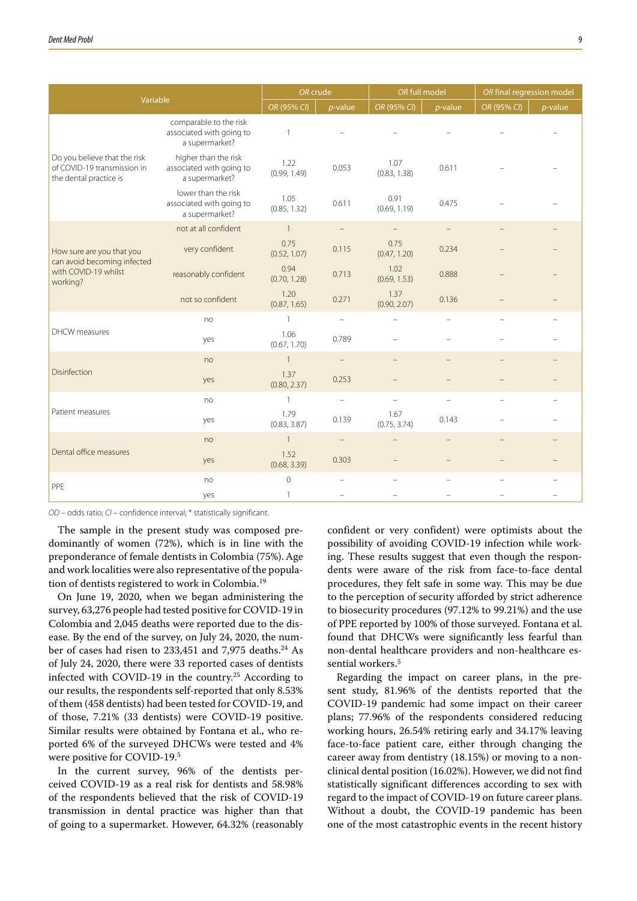| Variable                                                                              |                                                                      | OR crude             |                          | OR full model            |                          | OR final regression model |            |
|---------------------------------------------------------------------------------------|----------------------------------------------------------------------|----------------------|--------------------------|--------------------------|--------------------------|---------------------------|------------|
|                                                                                       |                                                                      | OR (95% CI)          | $p$ -value               | OR (95% CI)              | $p$ -value               | OR (95% CI)               | $p$ -value |
| Do you believe that the risk<br>of COVID-19 transmission in<br>the dental practice is | comparable to the risk<br>associated with going to<br>a supermarket? | $\mathbf{1}$         |                          |                          |                          |                           |            |
|                                                                                       | higher than the risk<br>associated with going to<br>a supermarket?   | 1.22<br>(0.99, 1.49) | 0.053                    | 1.07<br>(0.83, 1.38)     | 0.611                    |                           |            |
|                                                                                       | lower than the risk<br>associated with going to<br>a supermarket?    | 1.05<br>(0.85, 1.32) | 0.611                    | 0.91<br>(0.69, 1.19)     | 0.475                    |                           |            |
|                                                                                       | not at all confident                                                 | $\overline{1}$       |                          |                          |                          |                           |            |
| How sure are you that you<br>can avoid becoming infected                              | very confident                                                       | 0.75<br>(0.52, 1.07) | 0.115                    | 0.75<br>(0.47, 1.20)     | 0.234                    |                           |            |
| with COVID-19 whilst<br>working?                                                      | reasonably confident                                                 | 0.94<br>(0.70, 1.28) | 0.713                    | 1.02<br>(0.69, 1.53)     | 0.888                    |                           |            |
|                                                                                       | not so confident                                                     | 1.20<br>(0.87, 1.65) | 0.271                    | 1.37<br>(0.90, 2.07)     | 0.136                    |                           |            |
|                                                                                       | no                                                                   | 1                    |                          |                          |                          |                           |            |
| <b>DHCW</b> measures                                                                  | yes                                                                  | 1.06<br>(0.67, 1.70) | 0.789                    |                          |                          |                           |            |
|                                                                                       | no                                                                   | $\overline{1}$       |                          |                          |                          |                           |            |
| Disinfection                                                                          | yes                                                                  | 1.37<br>(0.80, 2.37) | 0.253                    |                          |                          |                           |            |
|                                                                                       | no                                                                   | $\mathbf{1}$         | $\overline{\phantom{m}}$ | $\overline{\phantom{0}}$ | $\overline{\phantom{0}}$ | $\overline{\phantom{0}}$  |            |
| Patient measures                                                                      | yes                                                                  | 1.79<br>(0.83, 3.87) | 0.139                    | 1.67<br>(0.75, 3.74)     | 0.143                    |                           |            |
|                                                                                       | no                                                                   | $\mathbf{1}$         | $\overline{\phantom{m}}$ |                          |                          |                           |            |
| Dental office measures                                                                | yes                                                                  | 1.52<br>(0.68, 3.39) | 0.303                    |                          |                          |                           |            |
| PPE                                                                                   | no                                                                   | $\overline{0}$       | $\equiv$                 |                          |                          |                           |            |
|                                                                                       | yes                                                                  | $\mathbf{1}$         |                          |                          |                          |                           |            |

*OD* – odds ratio; *CI* – confidence interval; \* statistically significant.

The sample in the present study was composed predominantly of women (72%), which is in line with the preponderance of female dentists in Colombia (75%). Age and work localities were also representative of the population of dentists registered to work in Colombia.<sup>19</sup>

On June 19, 2020, when we began administering the survey, 63,276 people had tested positive for COVID-19 in Colombia and 2,045 deaths were reported due to the disease. By the end of the survey, on July 24, 2020, the number of cases had risen to 233,451 and 7,975 deaths.<sup>24</sup> As of July 24, 2020, there were 33 reported cases of dentists infected with COVID-19 in the country.25 According to our results, the respondents self-reported that only 8.53% of them (458 dentists) had been tested for COVID-19, and of those, 7.21% (33 dentists) were COVID-19 positive. Similar results were obtained by Fontana et al., who reported 6% of the surveyed DHCWs were tested and 4% were positive for COVID-19.5

In the current survey, 96% of the dentists perceived COVID-19 as a real risk for dentists and 58.98% of the respondents believed that the risk of COVID-19 transmission in dental practice was higher than that of going to a supermarket. However, 64.32% (reasonably

confident or very confident) were optimists about the possibility of avoiding COVID-19 infection while working. These results suggest that even though the respondents were aware of the risk from face-to-face dental procedures, they felt safe in some way. This may be due to the perception of security afforded by strict adherence to biosecurity procedures (97.12% to 99.21%) and the use of PPE reported by 100% of those surveyed. Fontana et al. found that DHCWs were significantly less fearful than non-dental healthcare providers and non-healthcare essential workers.<sup>5</sup>

Regarding the impact on career plans, in the present study, 81.96% of the dentists reported that the COVID-19 pandemic had some impact on their career plans; 77.96% of the respondents considered reducing working hours, 26.54% retiring early and 34.17% leaving face-to-face patient care, either through changing the career away from dentistry (18.15%) or moving to a nonclinical dental position (16.02%). However, we did not find statistically significant differences according to sex with regard to the impact of COVID-19 on future career plans. Without a doubt, the COVID-19 pandemic has been one of the most catastrophic events in the recent history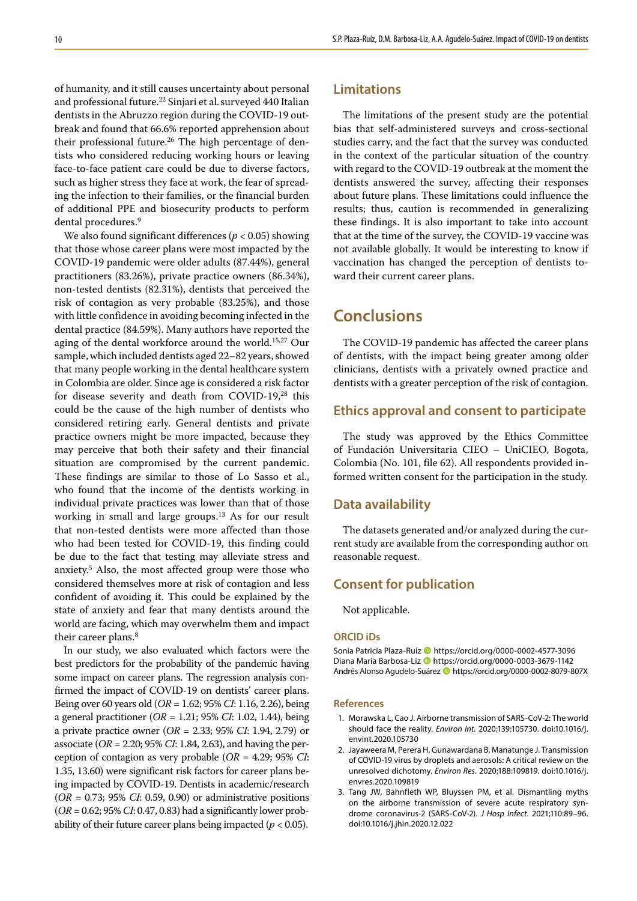of humanity, and it still causes uncertainty about personal and professional future.<sup>22</sup> Sinjari et al. surveyed 440 Italian dentists in the Abruzzo region during the COVID-19 outbreak and found that 66.6% reported apprehension about their professional future.<sup>26</sup> The high percentage of dentists who considered reducing working hours or leaving face-to-face patient care could be due to diverse factors, such as higher stress they face at work, the fear of spreading the infection to their families, or the financial burden of additional PPE and biosecurity products to perform dental procedures.<sup>9</sup>

We also found significant differences (*p* < 0.05) showing that those whose career plans were most impacted by the COVID-19 pandemic were older adults (87.44%), general practitioners (83.26%), private practice owners (86.34%), non-tested dentists (82.31%), dentists that perceived the risk of contagion as very probable (83.25%), and those with little confidence in avoiding becoming infected in the dental practice (84.59%). Many authors have reported the aging of the dental workforce around the world.<sup>15,27</sup> Our sample, which included dentists aged 22–82 years, showed that many people working in the dental healthcare system in Colombia are older. Since age is considered a risk factor for disease severity and death from COVID-19,28 this could be the cause of the high number of dentists who considered retiring early. General dentists and private practice owners might be more impacted, because they may perceive that both their safety and their financial situation are compromised by the current pandemic. These findings are similar to those of Lo Sasso et al., who found that the income of the dentists working in individual private practices was lower than that of those working in small and large groups.<sup>13</sup> As for our result that non-tested dentists were more affected than those who had been tested for COVID-19, this finding could be due to the fact that testing may alleviate stress and anxiety.5 Also, the most affected group were those who considered themselves more at risk of contagion and less confident of avoiding it. This could be explained by the state of anxiety and fear that many dentists around the world are facing, which may overwhelm them and impact their career plans.<sup>8</sup>

In our study, we also evaluated which factors were the best predictors for the probability of the pandemic having some impact on career plans. The regression analysis confirmed the impact of COVID-19 on dentists' career plans. Being over 60 years old (*OR* = 1.62; 95% *CI*: 1.16, 2.26), being a general practitioner (*OR* = 1.21; 95% *CI*: 1.02, 1.44), being a private practice owner (*OR* = 2.33; 95% *CI*: 1.94, 2.79) or associate (*OR* = 2.20; 95% *CI*: 1.84, 2.63), and having the perception of contagion as very probable (*OR* = 4.29; 95% *CI*: 1.35, 13.60) were significant risk factors for career plans being impacted by COVID-19. Dentists in academic/research (*OR* = 0.73; 95% *CI*: 0.59, 0.90) or administrative positions (*OR* = 0.62; 95% *CI*: 0.47, 0.83) had a significantly lower probability of their future career plans being impacted  $(p < 0.05)$ .

### **Limitations**

The limitations of the present study are the potential bias that self-administered surveys and cross-sectional studies carry, and the fact that the survey was conducted in the context of the particular situation of the country with regard to the COVID-19 outbreak at the moment the dentists answered the survey, affecting their responses about future plans. These limitations could influence the results; thus, caution is recommended in generalizing these findings. It is also important to take into account that at the time of the survey, the COVID-19 vaccine was not available globally. It would be interesting to know if vaccination has changed the perception of dentists toward their current career plans.

# **Conclusions**

The COVID-19 pandemic has affected the career plans of dentists, with the impact being greater among older clinicians, dentists with a privately owned practice and dentists with a greater perception of the risk of contagion.

### **Ethics approval and consent to participate**

The study was approved by the Ethics Committee of Fundación Universitaria CIEO – UniCIEO, Bogota, Colombia (No. 101, file 62). All respondents provided informed written consent for the participation in the study.

### **Data availability**

The datasets generated and/or analyzed during the current study are available from the corresponding author on reasonable request.

### **Consent for publication**

Not applicable.

#### **ORCID iDs**

Sonia Patricia Plaza-Ruíz **I** https://orcid.org/0000-0002-4577-3096 Diana María Barbosa-Liz <sup>1</sup> https://orcid.org/0000-0003-3679-1142 Andrés Alonso Agudelo-Suárez https://orcid.org/0000-0002-8079-807X

#### **References**

- 1. Morawska L, Cao J. Airborne transmission of SARS-CoV-2: The world should face the reality. *Environ Int*. 2020;139:105730. doi:10.1016/j. envint.2020.105730
- 2. Jayaweera M, Perera H, Gunawardana B, Manatunge J. Transmission of COVID-19 virus by droplets and aerosols: A critical review on the unresolved dichotomy. *Environ Res*. 2020;188:109819. doi:10.1016/j. envres.2020.109819
- 3. Tang JW, Bahnfleth WP, Bluyssen PM, et al. Dismantling myths on the airborne transmission of severe acute respiratory syndrome coronavirus-2 (SARS-CoV-2). *J Hosp Infect*. 2021;110:89–96. doi:10.1016/j.jhin.2020.12.022